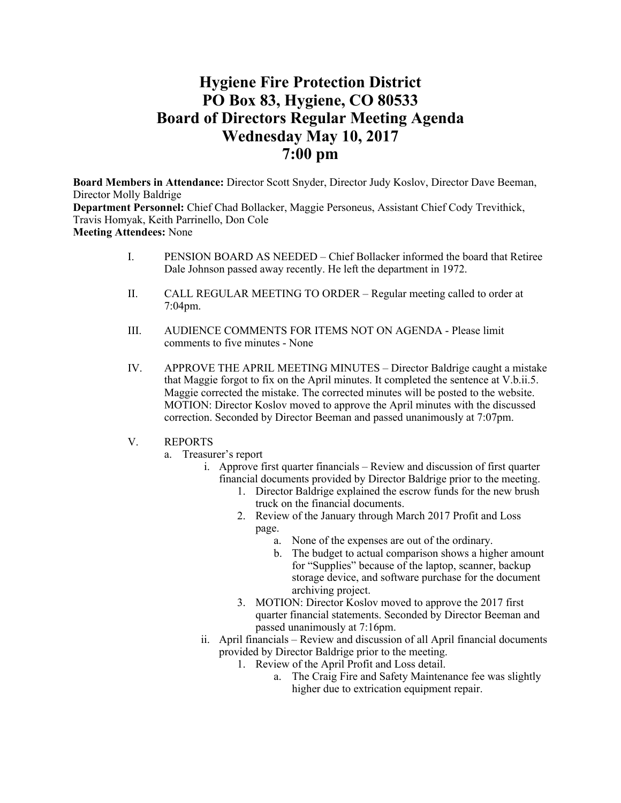# **Hygiene Fire Protection District PO Box 83, Hygiene, CO 80533 Board of Directors Regular Meeting Agenda Wednesday May 10, 2017 7:00 pm**

**Board Members in Attendance:** Director Scott Snyder, Director Judy Koslov, Director Dave Beeman, Director Molly Baldrige **Department Personnel:** Chief Chad Bollacker, Maggie Personeus, Assistant Chief Cody Trevithick, Travis Homyak, Keith Parrinello, Don Cole **Meeting Attendees:** None

- I. PENSION BOARD AS NEEDED Chief Bollacker informed the board that Retiree Dale Johnson passed away recently. He left the department in 1972.
- II. CALL REGULAR MEETING TO ORDER Regular meeting called to order at 7:04pm.
- III. AUDIENCE COMMENTS FOR ITEMS NOT ON AGENDA Please limit comments to five minutes - None
- IV. APPROVE THE APRIL MEETING MINUTES Director Baldrige caught a mistake that Maggie forgot to fix on the April minutes. It completed the sentence at V.b.ii.5. Maggie corrected the mistake. The corrected minutes will be posted to the website. MOTION: Director Koslov moved to approve the April minutes with the discussed correction. Seconded by Director Beeman and passed unanimously at 7:07pm.
- V. REPORTS
	- a. Treasurer's report
		- i. Approve first quarter financials Review and discussion of first quarter financial documents provided by Director Baldrige prior to the meeting.
			- 1. Director Baldrige explained the escrow funds for the new brush truck on the financial documents.
			- 2. Review of the January through March 2017 Profit and Loss page.
				- a. None of the expenses are out of the ordinary.
				- b. The budget to actual comparison shows a higher amount for "Supplies" because of the laptop, scanner, backup storage device, and software purchase for the document archiving project.
			- 3. MOTION: Director Koslov moved to approve the 2017 first quarter financial statements. Seconded by Director Beeman and passed unanimously at 7:16pm.
		- ii. April financials Review and discussion of all April financial documents provided by Director Baldrige prior to the meeting.
			- 1. Review of the April Profit and Loss detail.
				- a. The Craig Fire and Safety Maintenance fee was slightly higher due to extrication equipment repair.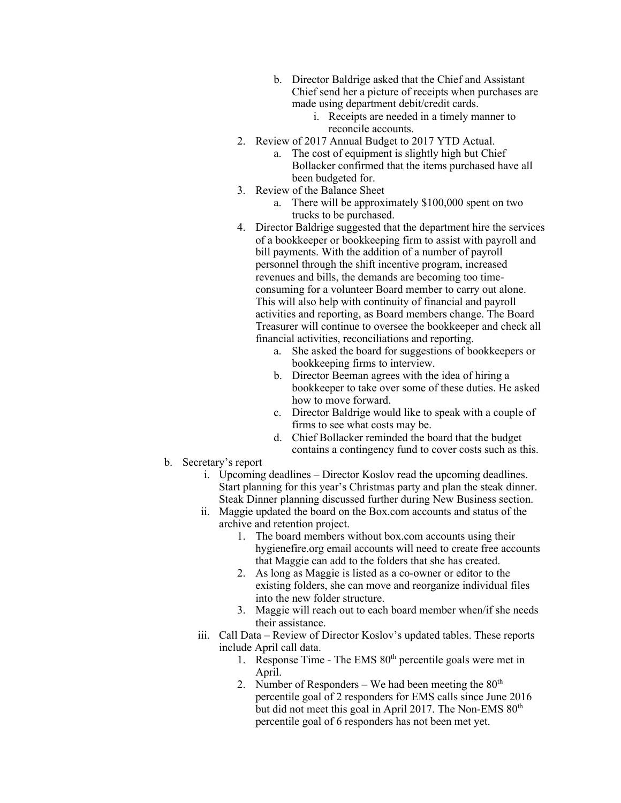- b. Director Baldrige asked that the Chief and Assistant Chief send her a picture of receipts when purchases are made using department debit/credit cards.
	- i. Receipts are needed in a timely manner to reconcile accounts.
- 2. Review of 2017 Annual Budget to 2017 YTD Actual.
	- a. The cost of equipment is slightly high but Chief Bollacker confirmed that the items purchased have all been budgeted for.
- 3. Review of the Balance Sheet
	- a. There will be approximately \$100,000 spent on two trucks to be purchased.
- 4. Director Baldrige suggested that the department hire the services of a bookkeeper or bookkeeping firm to assist with payroll and bill payments. With the addition of a number of payroll personnel through the shift incentive program, increased revenues and bills, the demands are becoming too timeconsuming for a volunteer Board member to carry out alone. This will also help with continuity of financial and payroll activities and reporting, as Board members change. The Board Treasurer will continue to oversee the bookkeeper and check all financial activities, reconciliations and reporting.
	- a. She asked the board for suggestions of bookkeepers or bookkeeping firms to interview.
	- b. Director Beeman agrees with the idea of hiring a bookkeeper to take over some of these duties. He asked how to move forward.
	- c. Director Baldrige would like to speak with a couple of firms to see what costs may be.
	- d. Chief Bollacker reminded the board that the budget contains a contingency fund to cover costs such as this.
- b. Secretary's report
	- i. Upcoming deadlines Director Koslov read the upcoming deadlines. Start planning for this year's Christmas party and plan the steak dinner. Steak Dinner planning discussed further during New Business section.
	- ii. Maggie updated the board on the Box.com accounts and status of the archive and retention project.
		- 1. The board members without box.com accounts using their hygienefire.org email accounts will need to create free accounts that Maggie can add to the folders that she has created.
		- 2. As long as Maggie is listed as a co-owner or editor to the existing folders, she can move and reorganize individual files into the new folder structure.
		- 3. Maggie will reach out to each board member when/if she needs their assistance.
	- iii. Call Data Review of Director Koslov's updated tables. These reports include April call data.
		- 1. Response Time The EMS  $80<sup>th</sup>$  percentile goals were met in April.
		- 2. Number of Responders We had been meeting the  $80<sup>th</sup>$ percentile goal of 2 responders for EMS calls since June 2016 but did not meet this goal in April 2017. The Non-EMS  $80<sup>th</sup>$ percentile goal of 6 responders has not been met yet.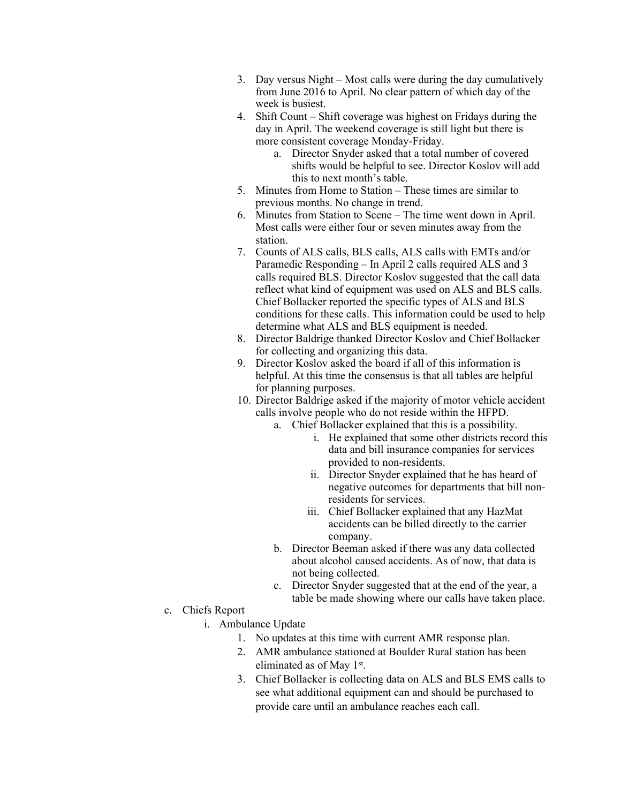- 3. Day versus Night Most calls were during the day cumulatively from June 2016 to April. No clear pattern of which day of the week is busiest.
- 4. Shift Count Shift coverage was highest on Fridays during the day in April. The weekend coverage is still light but there is more consistent coverage Monday-Friday.
	- a. Director Snyder asked that a total number of covered shifts would be helpful to see. Director Koslov will add this to next month's table.
- 5. Minutes from Home to Station These times are similar to previous months. No change in trend.
- 6. Minutes from Station to Scene The time went down in April. Most calls were either four or seven minutes away from the station.
- 7. Counts of ALS calls, BLS calls, ALS calls with EMTs and/or Paramedic Responding – In April 2 calls required ALS and 3 calls required BLS. Director Koslov suggested that the call data reflect what kind of equipment was used on ALS and BLS calls. Chief Bollacker reported the specific types of ALS and BLS conditions for these calls. This information could be used to help determine what ALS and BLS equipment is needed.
- 8. Director Baldrige thanked Director Koslov and Chief Bollacker for collecting and organizing this data.
- 9. Director Koslov asked the board if all of this information is helpful. At this time the consensus is that all tables are helpful for planning purposes.
- 10. Director Baldrige asked if the majority of motor vehicle accident calls involve people who do not reside within the HFPD.
	- a. Chief Bollacker explained that this is a possibility.
		- i. He explained that some other districts record this data and bill insurance companies for services provided to non-residents.
		- ii. Director Snyder explained that he has heard of negative outcomes for departments that bill nonresidents for services.
		- iii. Chief Bollacker explained that any HazMat accidents can be billed directly to the carrier company.
	- b. Director Beeman asked if there was any data collected about alcohol caused accidents. As of now, that data is not being collected.
	- c. Director Snyder suggested that at the end of the year, a table be made showing where our calls have taken place.
- c. Chiefs Report
	- i. Ambulance Update
		- 1. No updates at this time with current AMR response plan.
		- 2. AMR ambulance stationed at Boulder Rural station has been eliminated as of May 1st.
		- 3. Chief Bollacker is collecting data on ALS and BLS EMS calls to see what additional equipment can and should be purchased to provide care until an ambulance reaches each call.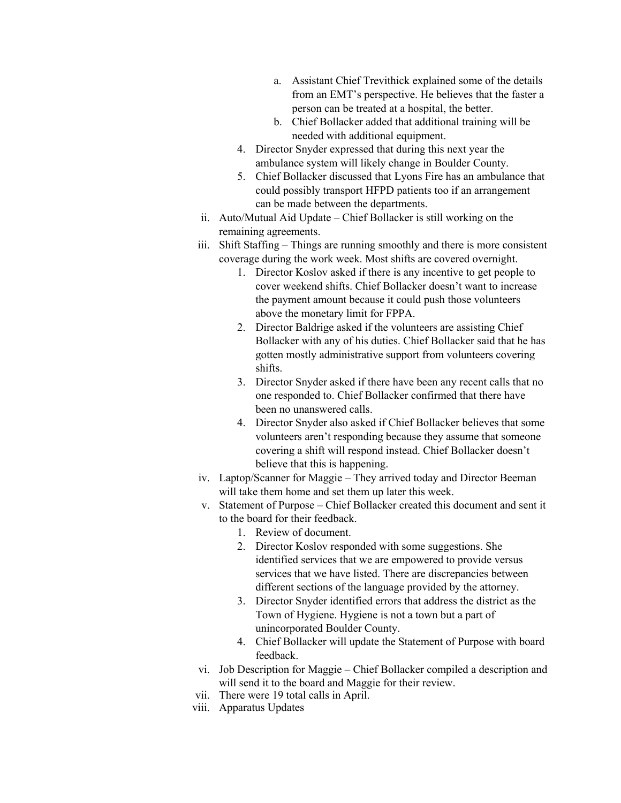- a. Assistant Chief Trevithick explained some of the details from an EMT's perspective. He believes that the faster a person can be treated at a hospital, the better.
- b. Chief Bollacker added that additional training will be needed with additional equipment.
- 4. Director Snyder expressed that during this next year the ambulance system will likely change in Boulder County.
- 5. Chief Bollacker discussed that Lyons Fire has an ambulance that could possibly transport HFPD patients too if an arrangement can be made between the departments.
- ii. Auto/Mutual Aid Update Chief Bollacker is still working on the remaining agreements.
- iii. Shift Staffing Things are running smoothly and there is more consistent coverage during the work week. Most shifts are covered overnight.
	- 1. Director Koslov asked if there is any incentive to get people to cover weekend shifts. Chief Bollacker doesn't want to increase the payment amount because it could push those volunteers above the monetary limit for FPPA.
	- 2. Director Baldrige asked if the volunteers are assisting Chief Bollacker with any of his duties. Chief Bollacker said that he has gotten mostly administrative support from volunteers covering shifts.
	- 3. Director Snyder asked if there have been any recent calls that no one responded to. Chief Bollacker confirmed that there have been no unanswered calls.
	- 4. Director Snyder also asked if Chief Bollacker believes that some volunteers aren't responding because they assume that someone covering a shift will respond instead. Chief Bollacker doesn't believe that this is happening.
- iv. Laptop/Scanner for Maggie They arrived today and Director Beeman will take them home and set them up later this week.
- v. Statement of Purpose Chief Bollacker created this document and sent it to the board for their feedback.
	- 1. Review of document.
	- 2. Director Koslov responded with some suggestions. She identified services that we are empowered to provide versus services that we have listed. There are discrepancies between different sections of the language provided by the attorney.
	- 3. Director Snyder identified errors that address the district as the Town of Hygiene. Hygiene is not a town but a part of unincorporated Boulder County.
	- 4. Chief Bollacker will update the Statement of Purpose with board feedback.
- vi. Job Description for Maggie Chief Bollacker compiled a description and will send it to the board and Maggie for their review.
- vii. There were 19 total calls in April.
- viii. Apparatus Updates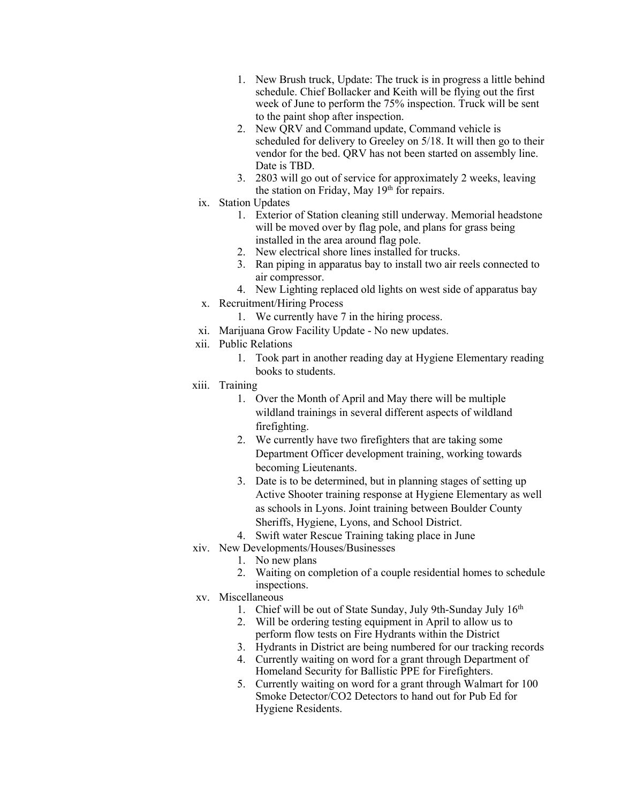- 1. New Brush truck, Update: The truck is in progress a little behind schedule. Chief Bollacker and Keith will be flying out the first week of June to perform the 75% inspection. Truck will be sent to the paint shop after inspection.
- 2. New QRV and Command update, Command vehicle is scheduled for delivery to Greeley on 5/18. It will then go to their vendor for the bed. QRV has not been started on assembly line. Date is TBD.
- 3. 2803 will go out of service for approximately 2 weeks, leaving the station on Friday, May 19<sup>th</sup> for repairs.
- ix. Station Updates
	- 1. Exterior of Station cleaning still underway. Memorial headstone will be moved over by flag pole, and plans for grass being installed in the area around flag pole.
	- 2. New electrical shore lines installed for trucks.
	- 3. Ran piping in apparatus bay to install two air reels connected to air compressor.
	- 4. New Lighting replaced old lights on west side of apparatus bay
- x. Recruitment/Hiring Process
	- 1. We currently have 7 in the hiring process.
- xi. Marijuana Grow Facility Update No new updates.
- xii. Public Relations
	- 1. Took part in another reading day at Hygiene Elementary reading books to students.
- xiii. Training
	- 1. Over the Month of April and May there will be multiple wildland trainings in several different aspects of wildland firefighting.
	- 2. We currently have two firefighters that are taking some Department Officer development training, working towards becoming Lieutenants.
	- 3. Date is to be determined, but in planning stages of setting up Active Shooter training response at Hygiene Elementary as well as schools in Lyons. Joint training between Boulder County Sheriffs, Hygiene, Lyons, and School District.
	- 4. Swift water Rescue Training taking place in June
- xiv. New Developments/Houses/Businesses
	- 1. No new plans
	- 2. Waiting on completion of a couple residential homes to schedule inspections.
- xv. Miscellaneous
	- 1. Chief will be out of State Sunday, July 9th-Sunday July 16<sup>th</sup>
	- 2. Will be ordering testing equipment in April to allow us to perform flow tests on Fire Hydrants within the District
	- 3. Hydrants in District are being numbered for our tracking records
	- 4. Currently waiting on word for a grant through Department of Homeland Security for Ballistic PPE for Firefighters.
	- 5. Currently waiting on word for a grant through Walmart for 100 Smoke Detector/CO2 Detectors to hand out for Pub Ed for Hygiene Residents.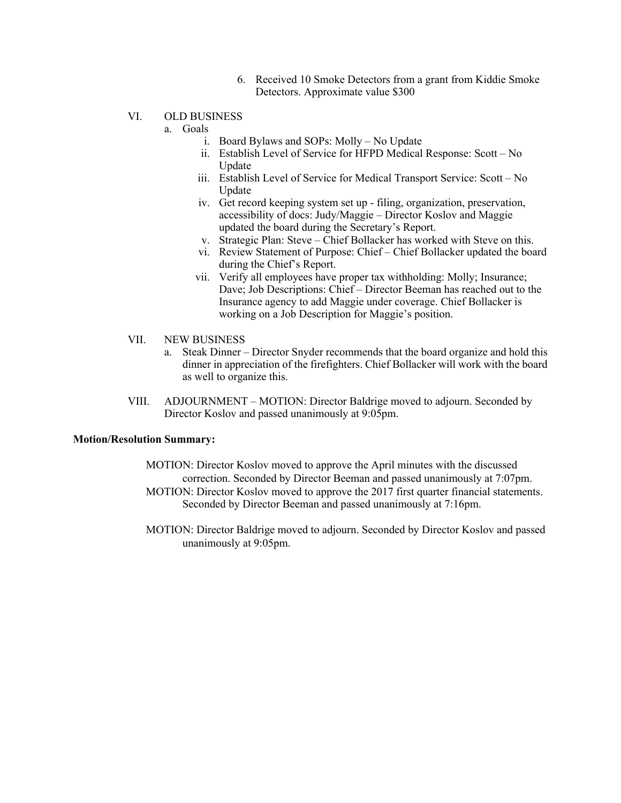- 6. Received 10 Smoke Detectors from a grant from Kiddie Smoke Detectors. Approximate value \$300
- VI. OLD BUSINESS
	- a. Goals
		- i. Board Bylaws and SOPs: Molly No Update
		- ii. Establish Level of Service for HFPD Medical Response: Scott No Update
		- iii. Establish Level of Service for Medical Transport Service: Scott No Update
		- iv. Get record keeping system set up filing, organization, preservation, accessibility of docs: Judy/Maggie – Director Koslov and Maggie updated the board during the Secretary's Report.
		- v. Strategic Plan: Steve Chief Bollacker has worked with Steve on this.
		- vi. Review Statement of Purpose: Chief Chief Bollacker updated the board during the Chief's Report.
		- vii. Verify all employees have proper tax withholding: Molly; Insurance; Dave; Job Descriptions: Chief – Director Beeman has reached out to the Insurance agency to add Maggie under coverage. Chief Bollacker is working on a Job Description for Maggie's position.
- VII. NEW BUSINESS
	- a. Steak Dinner Director Snyder recommends that the board organize and hold this dinner in appreciation of the firefighters. Chief Bollacker will work with the board as well to organize this.
- VIII. ADJOURNMENT MOTION: Director Baldrige moved to adjourn. Seconded by Director Koslov and passed unanimously at 9:05pm.

## **Motion/Resolution Summary:**

- MOTION: Director Koslov moved to approve the April minutes with the discussed correction. Seconded by Director Beeman and passed unanimously at 7:07pm.
- MOTION: Director Koslov moved to approve the 2017 first quarter financial statements. Seconded by Director Beeman and passed unanimously at 7:16pm.
- MOTION: Director Baldrige moved to adjourn. Seconded by Director Koslov and passed unanimously at 9:05pm.